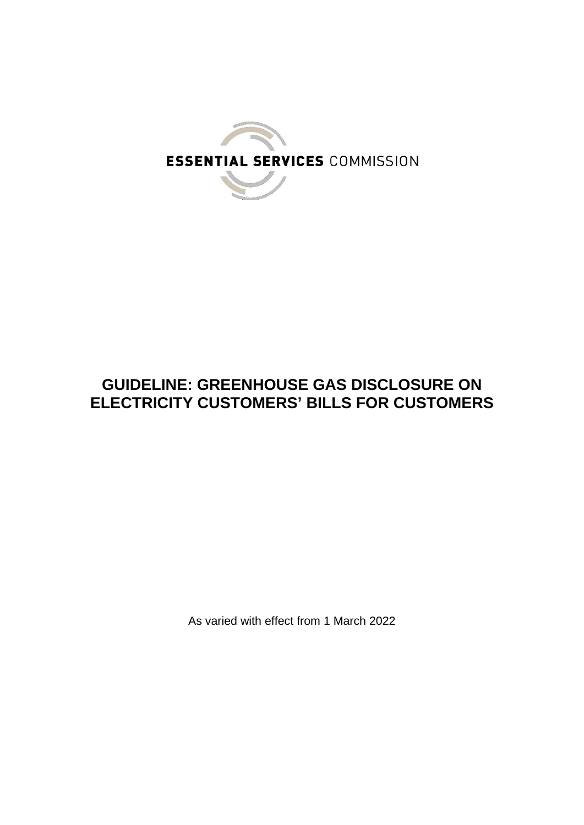

# **GUIDELINE: GREENHOUSE GAS DISCLOSURE ON ELECTRICITY CUSTOMERS' BILLS FOR CUSTOMERS**

As varied with effect from 1 March 2022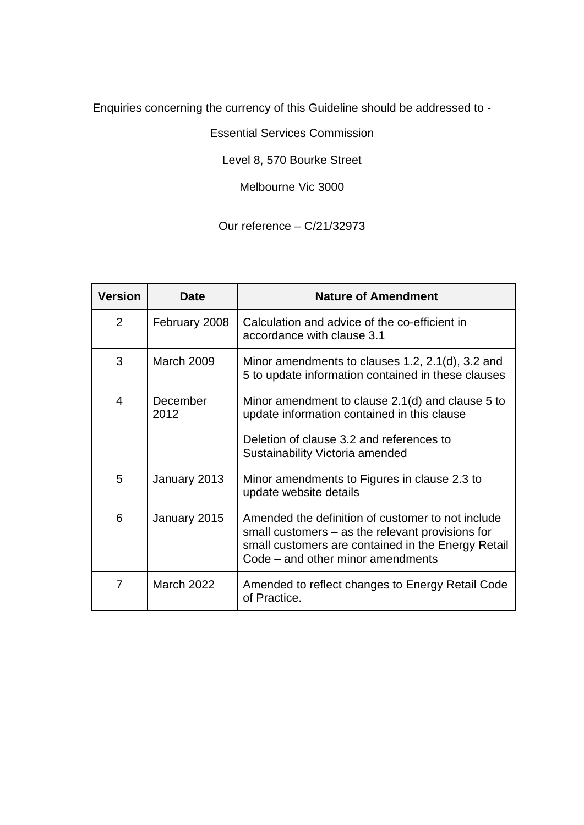Enquiries concerning the currency of this Guideline should be addressed to -

Essential Services Commission

Level 8, 570 Bourke Street

Melbourne Vic 3000

Our reference – C/21/32973

| <b>Version</b> | Date              | <b>Nature of Amendment</b>                                                                                                                                                                         |
|----------------|-------------------|----------------------------------------------------------------------------------------------------------------------------------------------------------------------------------------------------|
| 2              | February 2008     | Calculation and advice of the co-efficient in<br>accordance with clause 3.1                                                                                                                        |
| 3              | <b>March 2009</b> | Minor amendments to clauses 1.2, 2.1(d), 3.2 and<br>5 to update information contained in these clauses                                                                                             |
| 4              | December<br>2012  | Minor amendment to clause 2.1(d) and clause 5 to<br>update information contained in this clause<br>Deletion of clause 3.2 and references to<br>Sustainability Victoria amended                     |
| 5              | January 2013      | Minor amendments to Figures in clause 2.3 to<br>update website details                                                                                                                             |
| 6              | January 2015      | Amended the definition of customer to not include<br>small customers $-$ as the relevant provisions for<br>small customers are contained in the Energy Retail<br>Code – and other minor amendments |
| 7              | <b>March 2022</b> | Amended to reflect changes to Energy Retail Code<br>of Practice.                                                                                                                                   |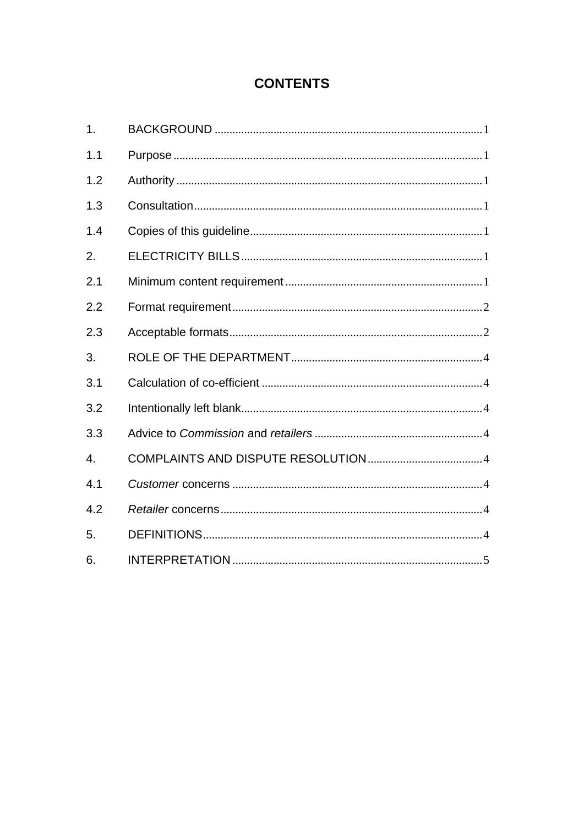# **CONTENTS**

| 1.  |  |
|-----|--|
| 1.1 |  |
| 1.2 |  |
| 1.3 |  |
| 1.4 |  |
| 2.  |  |
| 2.1 |  |
| 2.2 |  |
| 2.3 |  |
| 3.  |  |
| 3.1 |  |
| 3.2 |  |
| 3.3 |  |
| 4.  |  |
| 4.1 |  |
| 4.2 |  |
| 5.  |  |
| 6.  |  |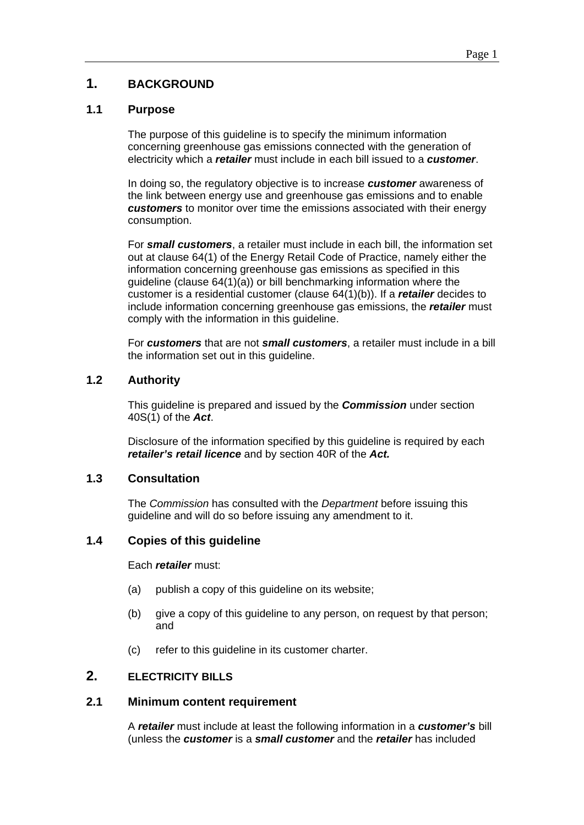# <span id="page-3-0"></span>**1. BACKGROUND**

# <span id="page-3-1"></span>**1.1 Purpose**

The purpose of this guideline is to specify the minimum information concerning greenhouse gas emissions connected with the generation of electricity which a *retailer* must include in each bill issued to a *customer*.

In doing so, the regulatory objective is to increase *customer* awareness of the link between energy use and greenhouse gas emissions and to enable *customers* to monitor over time the emissions associated with their energy consumption.

For *small customers*, a retailer must include in each bill, the information set out at clause 64(1) of the Energy Retail Code of Practice, namely either the information concerning greenhouse gas emissions as specified in this guideline (clause 64(1)(a)) or bill benchmarking information where the customer is a residential customer (clause 64(1)(b)). If a *retailer* decides to include information concerning greenhouse gas emissions, the *retailer* must comply with the information in this guideline.

For *customers* that are not *small customers*, a retailer must include in a bill the information set out in this guideline.

# <span id="page-3-2"></span>**1.2 Authority**

This guideline is prepared and issued by the *Commission* under section 40S(1) of the *Act*.

Disclosure of the information specified by this guideline is required by each *retailer's retail licence* and by section 40R of the *Act.*

# <span id="page-3-3"></span>**1.3 Consultation**

The *Commission* has consulted with the *Department* before issuing this guideline and will do so before issuing any amendment to it.

# <span id="page-3-4"></span>**1.4 Copies of this guideline**

Each *retailer* must:

- (a) publish a copy of this guideline on its website;
- (b) give a copy of this guideline to any person, on request by that person; and
- (c) refer to this guideline in its customer charter.

# <span id="page-3-6"></span><span id="page-3-5"></span>**2. ELECTRICITY BILLS**

### **2.1 Minimum content requirement**

A *retailer* must include at least the following information in a *customer's* bill (unless the *customer* is a *small customer* and the *retailer* has included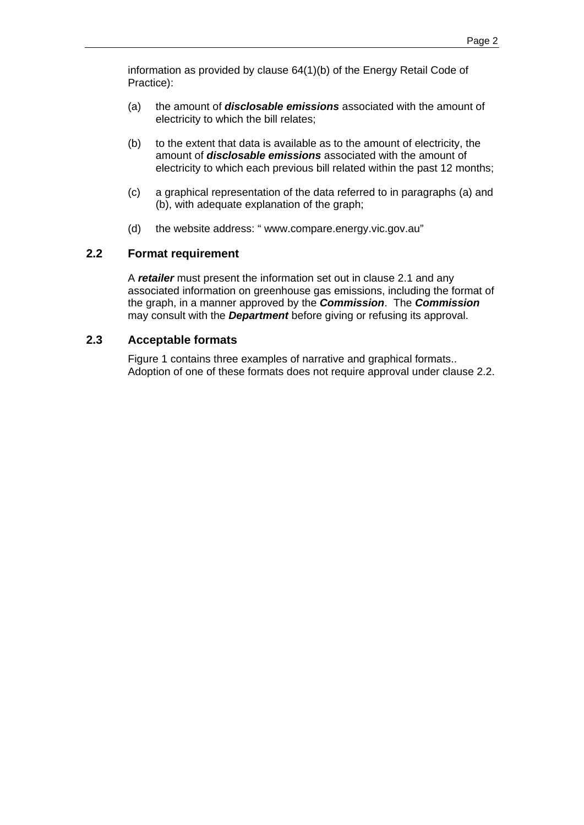information as provided by clause 64(1)(b) of the Energy Retail Code of Practice):

- (a) the amount of *disclosable emissions* associated with the amount of electricity to which the bill relates;
- (b) to the extent that data is available as to the amount of electricity, the amount of *disclosable emissions* associated with the amount of electricity to which each previous bill related within the past 12 months;
- (c) a graphical representation of the data referred to in paragraphs (a) and (b), with adequate explanation of the graph;
- (d) the website address: " www.compare.energy.vic.gov.au"

### <span id="page-4-0"></span>**2.2 Format requirement**

A *retailer* must present the information set out in clause 2.1 and any associated information on greenhouse gas emissions, including the format of the graph, in a manner approved by the *Commission*. The *Commission* may consult with the *Department* before giving or refusing its approval.

# <span id="page-4-1"></span>**2.3 Acceptable formats**

Figure 1 contains three examples of narrative and graphical formats.. Adoption of one of these formats does not require approval under clause 2.2.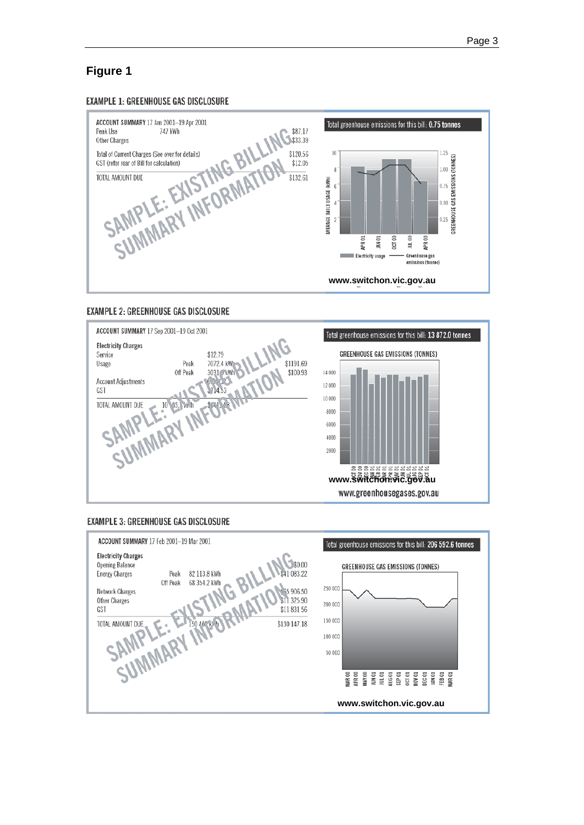# **Figure 1**

#### **EXAMPLE 1: GREENHOUSE GAS DISCLOSURE**



#### **EXAMPLE 2: GREENHOUSE GAS DISCLOSURE**





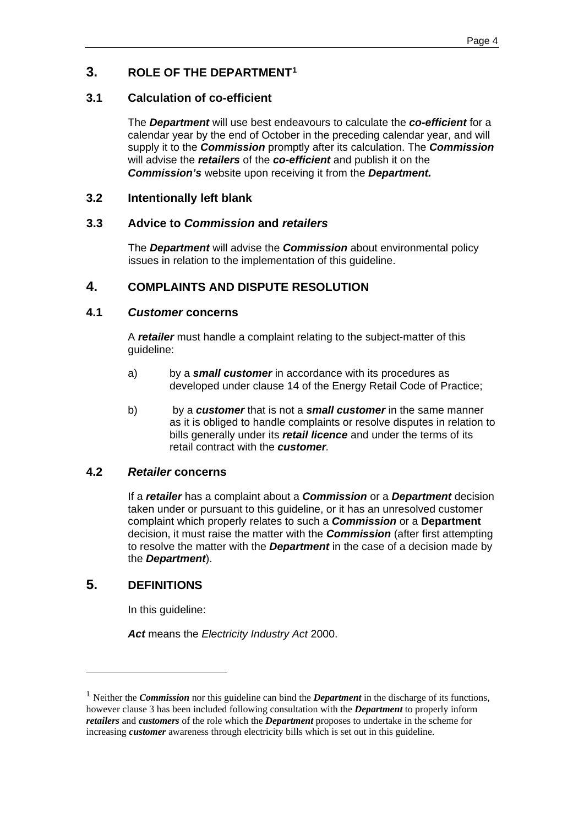# <span id="page-6-0"></span>**3. ROLE OF THE DEPARTMENT[1](#page-6-8)**

# <span id="page-6-1"></span>**3.1 Calculation of co-efficient**

The *Department* will use best endeavours to calculate the *co-efficient* for a calendar year by the end of October in the preceding calendar year, and will supply it to the *Commission* promptly after its calculation. The *Commission* will advise the *retailers* of the *co-efficient* and publish it on the *Commission's* website upon receiving it from the *Department.*

# <span id="page-6-3"></span><span id="page-6-2"></span>**3.2 Intentionally left blank**

# **3.3 Advice to** *Commission* **and** *retailers*

The *Department* will advise the *Commission* about environmental policy issues in relation to the implementation of this guideline.

# <span id="page-6-4"></span>**4. COMPLAINTS AND DISPUTE RESOLUTION**

# <span id="page-6-5"></span>**4.1** *Customer* **concerns**

A *retailer* must handle a complaint relating to the subject-matter of this guideline:

- a) by a *small customer* in accordance with its procedures as developed under clause 14 of the Energy Retail Code of Practice;
- b) by a *customer* that is not a *small customer* in the same manner as it is obliged to handle complaints or resolve disputes in relation to bills generally under its *retail licence* and under the terms of its retail contract with the *customer.*

### <span id="page-6-6"></span>**4.2** *Retailer* **concerns**

If a *retailer* has a complaint about a *Commission* or a *Department* decision taken under or pursuant to this guideline, or it has an unresolved customer complaint which properly relates to such a *Commission* or a **Department** decision, it must raise the matter with the *Commission* (after first attempting to resolve the matter with the *Department* in the case of a decision made by the *Department*).

# <span id="page-6-7"></span>**5. DEFINITIONS**

In this guideline:

*Act* means the *Electricity Industry Act* 2000.

<span id="page-6-8"></span><sup>1</sup> Neither the *Commission* nor this guideline can bind the *Department* in the discharge of its functions, however clause 3 has been included following consultation with the *Department* to properly inform *retailers* and *customers* of the role which the *Department* proposes to undertake in the scheme for increasing *customer* awareness through electricity bills which is set out in this guideline.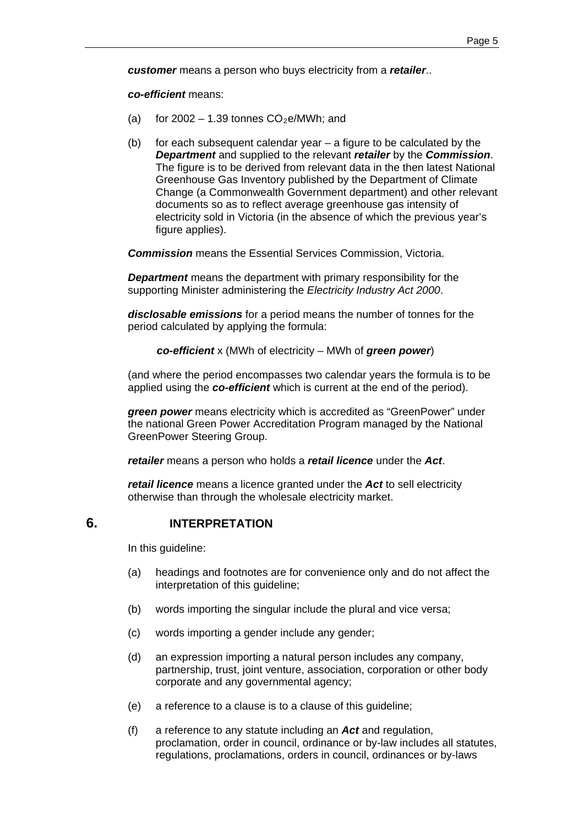*customer* means a person who buys electricity from a *retailer*..

*co-efficient* means:

- (a) for  $2002 1.39$  tonnes  $CO<sub>2</sub>e/MWh$ ; and
- (b) for each subsequent calendar year a figure to be calculated by the *Department* and supplied to the relevant *retailer* by the *Commission*. The figure is to be derived from relevant data in the then latest National Greenhouse Gas Inventory published by the Department of Climate Change (a Commonwealth Government department) and other relevant documents so as to reflect average greenhouse gas intensity of electricity sold in Victoria (in the absence of which the previous year's figure applies).

*Commission* means the Essential Services Commission, Victoria.

*Department* means the department with primary responsibility for the supporting Minister administering the *Electricity Industry Act 2000*.

*disclosable emissions* for a period means the number of tonnes for the period calculated by applying the formula:

*co-efficient* x (MWh of electricity – MWh of *green power*)

(and where the period encompasses two calendar years the formula is to be applied using the *co-efficient* which is current at the end of the period).

*green power* means electricity which is accredited as "GreenPower" under the national Green Power Accreditation Program managed by the National GreenPower Steering Group.

*retailer* means a person who holds a *retail licence* under the *Act*.

<span id="page-7-0"></span>*retail licence* means a licence granted under the *Act* to sell electricity otherwise than through the wholesale electricity market.

# **6. INTERPRETATION**

In this guideline:

- (a) headings and footnotes are for convenience only and do not affect the interpretation of this guideline;
- (b) words importing the singular include the plural and vice versa;
- (c) words importing a gender include any gender;
- (d) an expression importing a natural person includes any company, partnership, trust, joint venture, association, corporation or other body corporate and any governmental agency;
- (e) a reference to a clause is to a clause of this guideline;
- (f) a reference to any statute including an *Act* and regulation, proclamation, order in council, ordinance or by-law includes all statutes, regulations, proclamations, orders in council, ordinances or by-laws